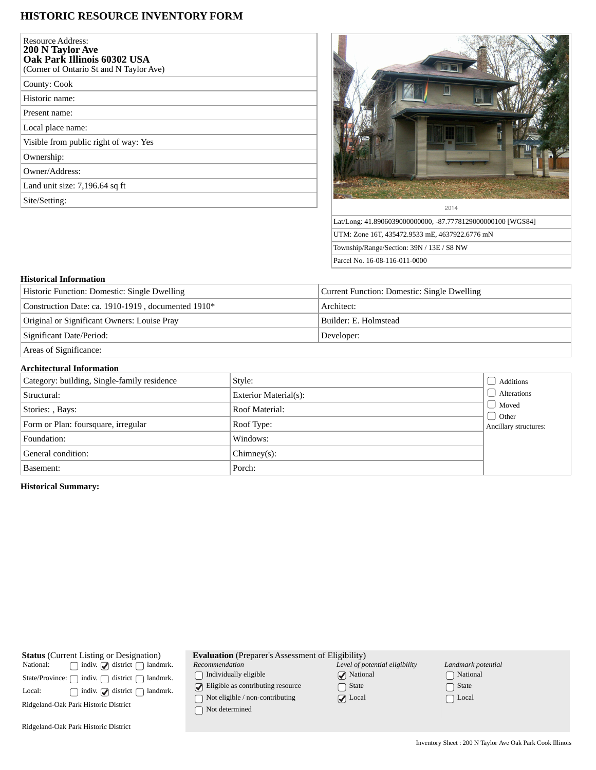## **HISTORIC RESOURCE INVENTORY FORM**

| <b>Resource Address:</b><br>200 N Taylor Ave<br>Oak Park Illinois 60302 USA<br>(Corner of Ontario St and N Taylor Ave) |  |
|------------------------------------------------------------------------------------------------------------------------|--|
| County: Cook                                                                                                           |  |
| Historic name:                                                                                                         |  |
| Present name:                                                                                                          |  |
| Local place name:                                                                                                      |  |
| Visible from public right of way: Yes                                                                                  |  |
| Ownership:                                                                                                             |  |
| Owner/Address:                                                                                                         |  |
| Land unit size: 7,196.64 sq ft                                                                                         |  |
| Site/Setting:                                                                                                          |  |



UTM: Zone 16T, 435472.9533 mE, 4637922.6776 mN Township/Range/Section: 39N / 13E / S8 NW Parcel No. 16-08-116-011-0000

## **Historical Information**

| Historic Function: Domestic: Single Dwelling       | Current Function: Domestic: Single Dwelling |  |
|----------------------------------------------------|---------------------------------------------|--|
| Construction Date: ca. 1910-1919, documented 1910* | Architect:                                  |  |
| Original or Significant Owners: Louise Pray        | Builder: E. Holmstead                       |  |
| Significant Date/Period:                           | Developer:                                  |  |
| Areas of Significance:                             |                                             |  |

## **Architectural Information**

| Category: building, Single-family residence | Style:                | Additions                                                |  |  |
|---------------------------------------------|-----------------------|----------------------------------------------------------|--|--|
| Structural:                                 | Exterior Material(s): | Alterations                                              |  |  |
| Stories: , Bays:                            | Roof Material:        | $\Box$ Moved<br>$\bigcup$ Other<br>Ancillary structures: |  |  |
| Form or Plan: foursquare, irregular         | Roof Type:            |                                                          |  |  |
| Foundation:                                 | Windows:              |                                                          |  |  |
| General condition:                          | $Chimney(s)$ :        |                                                          |  |  |
| Basement:                                   | Porch:                |                                                          |  |  |

## **Historical Summary:**

| <b>Status</b> (Current Listing or Designation)<br>indiv. $\Box$ district $\Box$ landmrk.<br>National:<br>indiv.<br>district<br>State/Province: ∩<br>landmrk.<br>indiv. $\sqrt{\phantom{a}}$ district $\begin{bmatrix} \end{bmatrix}$<br>Local:<br>landmrk.<br>Ridgeland-Oak Park Historic District | <b>Evaluation</b> (Preparer's Assessment of Eligibility)<br>Recommendation<br>Individually eligible<br>$\Box$ Eligible as contributing resource<br>Not eligible / non-contributing<br>Not determined | Level of potential eligibility<br>$\sqrt{\phantom{a}}$ National<br>∩ State<br>$\sqrt{ }$ Local | Landmark potential<br>National<br>State<br>Local |
|----------------------------------------------------------------------------------------------------------------------------------------------------------------------------------------------------------------------------------------------------------------------------------------------------|------------------------------------------------------------------------------------------------------------------------------------------------------------------------------------------------------|------------------------------------------------------------------------------------------------|--------------------------------------------------|
|                                                                                                                                                                                                                                                                                                    |                                                                                                                                                                                                      |                                                                                                |                                                  |